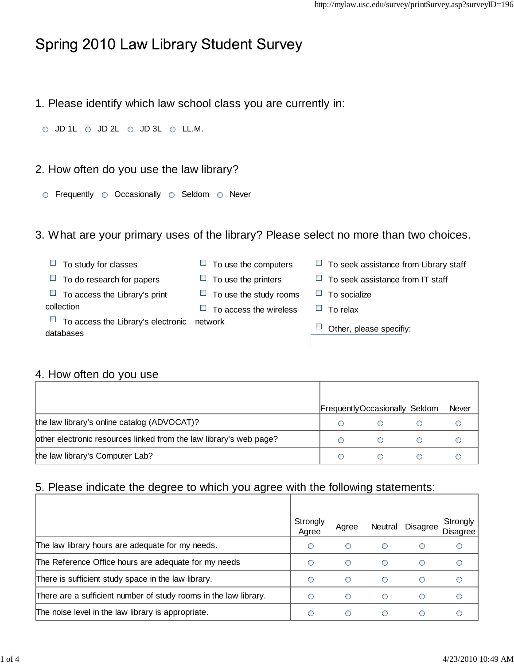# Spring 2010 Law Library Student Survey

1. Please identify which law school class you are currently in:

 $\circ$  JD 1L  $\circ$  JD 2L  $\circ$  JD 3L  $\circ$  LL.M.

#### 2. How often do you use the law library?

 $\circ$  Frequently  $\circ$  Occasionally  $\circ$  Seldom  $\circ$  Never

#### 3. What are your primary uses of the library? Please select no more than two choices.

| To study for classes                                           | To use the computers          | To seek assistance from Library staff<br>ш |
|----------------------------------------------------------------|-------------------------------|--------------------------------------------|
| To do research for papers<br>$\Box$                            | To use the printers           | To seek assistance from IT staff           |
| $\Box$ To access the Library's print                           | $\Box$ To use the study rooms | To socialize                               |
| collection                                                     | To access the wireless        | To relax                                   |
| $\Box$ To access the Library's electronic network<br>databases |                               | Other, please specifiy:                    |

## 4. How often do you use

|                                                                    |   | FrequentlyOccasionally Seldom | <b>Never</b> |
|--------------------------------------------------------------------|---|-------------------------------|--------------|
| the law library's online catalog (ADVOCAT)?                        |   |                               |              |
| other electronic resources linked from the law library's web page? |   |                               |              |
| the law library's Computer Lab?                                    | ∩ |                               |              |

# 5. Please indicate the degree to which you agree with the following statements:

|                                                                  | Strongly<br>Agree | Agree | Neutral                                       | <b>Disagree</b> | Strongly<br><b>Disagree</b> |
|------------------------------------------------------------------|-------------------|-------|-----------------------------------------------|-----------------|-----------------------------|
| The law library hours are adequate for my needs.                 | O                 | ∩     | Ο                                             | ◯               |                             |
| The Reference Office hours are adequate for my needs             | ⊂                 | ∩     | Ο                                             | ∩               |                             |
| There is sufficient study space in the law library.              | ∩                 | ∩     | ∩                                             | ∩               |                             |
| There are a sufficient number of study rooms in the law library. |                   | ∩     | ∩                                             | ∩               |                             |
| The noise level in the law library is appropriate.               | ◠                 | ∩     | $\left( \begin{array}{c} \end{array} \right)$ | ∩               |                             |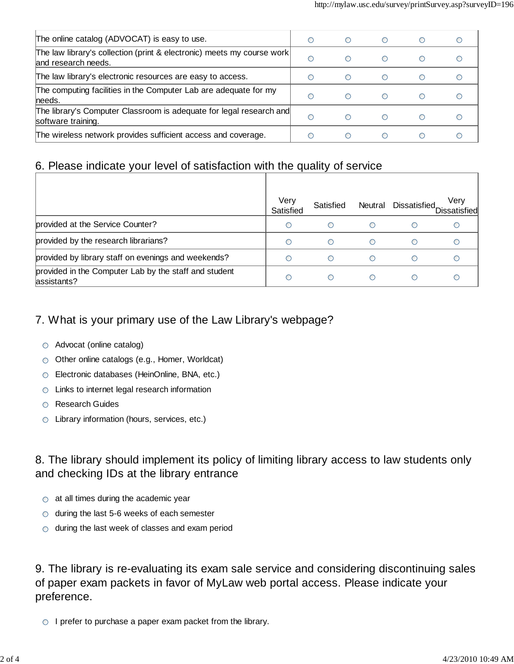| The online catalog (ADVOCAT) is easy to use.                                                   | O | ∩          | $\left( \begin{array}{c} 1 \end{array} \right)$ |            |  |
|------------------------------------------------------------------------------------------------|---|------------|-------------------------------------------------|------------|--|
| The law library's collection (print & electronic) meets my course work<br>land research needs. | O | ∩          | $\bigcirc$                                      | $\bigcirc$ |  |
| The law library's electronic resources are easy to access.                                     | O | ∩          | $\left( \begin{array}{c} \end{array} \right)$   | ∩          |  |
| The computing facilities in the Computer Lab are adequate for my<br>lneeds.                    | ∩ | ∩          | ∩                                               |            |  |
| The library's Computer Classroom is adequate for legal research and<br>software training.      | ∩ | ∩          | ◯                                               |            |  |
| The wireless network provides sufficient access and coverage.                                  |   | $\bigcirc$ |                                                 |            |  |

#### 6. Please indicate your level of satisfaction with the quality of service

|                                                                      | Verv<br>Satisfied | Satisfied |  | Very<br>Neutral Dissatisfied Dissatisfied |
|----------------------------------------------------------------------|-------------------|-----------|--|-------------------------------------------|
| provided at the Service Counter?                                     |                   |           |  |                                           |
| provided by the research librarians?                                 | ◯                 | ∩         |  |                                           |
| provided by library staff on evenings and weekends?                  |                   |           |  |                                           |
| provided in the Computer Lab by the staff and student<br>assistants? | ◯                 |           |  |                                           |

## 7. What is your primary use of the Law Library's webpage?

- Advocat (online catalog)
- Other online catalogs (e.g., Homer, Worldcat)
- Electronic databases (HeinOnline, BNA, etc.)
- Links to internet legal research information
- Research Guides
- C Library information (hours, services, etc.)

## 8. The library should implement its policy of limiting library access to law students only and checking IDs at the library entrance

- $\circ$  at all times during the academic year
- $\circ$  during the last 5-6 weeks of each semester
- $\circ$  during the last week of classes and exam period

9. The library is re-evaluating its exam sale service and considering discontinuing sales of paper exam packets in favor of MyLaw web portal access. Please indicate your preference.

 $\circ$  I prefer to purchase a paper exam packet from the library.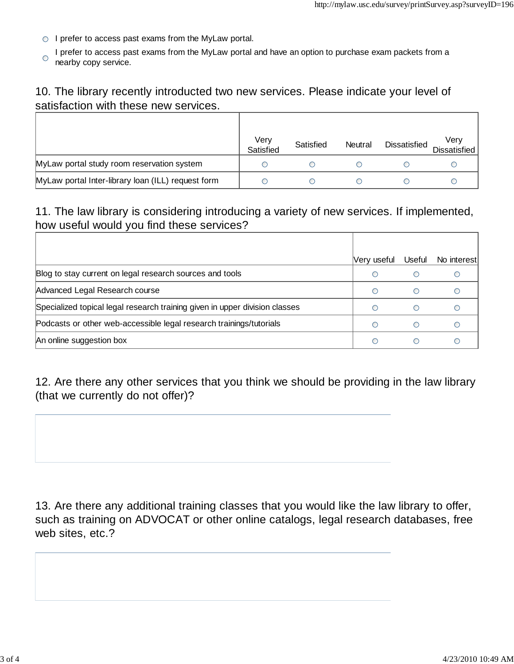- $\circ$  I prefer to access past exams from the MyLaw portal.
- I prefer to access past exams from the MyLaw portal and have an option to purchase exam packets from a O nearby copy service.

#### 10. The library recently introducted two new services. Please indicate your level of satisfaction with these new services.

|                                                    | Very<br>Satisfied | Satisfied | Neutral | <b>Dissatisfied</b> | Very<br>Dissatisfied |
|----------------------------------------------------|-------------------|-----------|---------|---------------------|----------------------|
| MyLaw portal study room reservation system         |                   |           |         |                     |                      |
| MyLaw portal Inter-library loan (ILL) request form |                   |           |         |                     |                      |

#### 11. The law library is considering introducing a variety of new services. If implemented, how useful would you find these services?

|                                                                             | Very useful | Useful | No interest |
|-----------------------------------------------------------------------------|-------------|--------|-------------|
| Blog to stay current on legal research sources and tools                    |             |        |             |
| Advanced Legal Research course                                              |             |        |             |
| Specialized topical legal research training given in upper division classes |             |        |             |
| Podcasts or other web-accessible legal research trainings/tutorials         |             |        |             |
| An online suggestion box                                                    |             |        |             |

12. Are there any other services that you think we should be providing in the law library (that we currently do not offer)?

13. Are there any additional training classes that you would like the law library to offer, such as training on ADVOCAT or other online catalogs, legal research databases, free web sites, etc.?